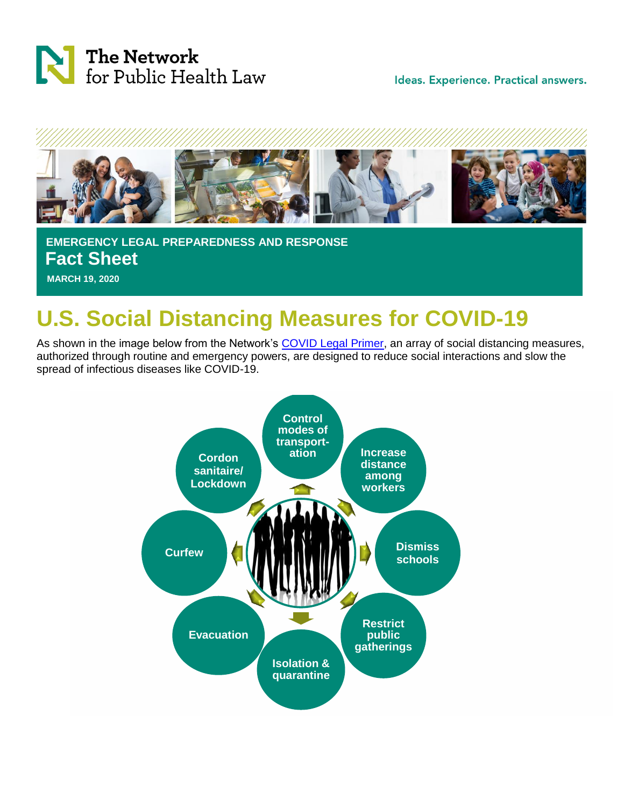

Ideas. Experience. Practical answers.



 **EMERGENCY LEGAL PREPAREDNESS AND RESPONSE Fact Sheet MARCH 19, 2020**

## **U.S. Social Distancing Measures for COVID-19**

As shown in the image below from the Network's [COVID Legal Primer,](As%20per%20the%20image%20below%20from%20the%20Network’s%20COVID%20Legal%20Primer,%20an%20array%20of%20%20social%20distancing%20measures,%20authorized%20through%20routine%20and%20emergency%20powers,%20are%20designed%20to%20reduce%20social%20interactions%20and%20slow%20the%20spread%20of%20infectious%20diseases%20like%20COVID-19.) an array of social distancing measures, authorized through routine and emergency powers, are designed to reduce social interactions and slow the spread of infectious diseases like COVID-19.

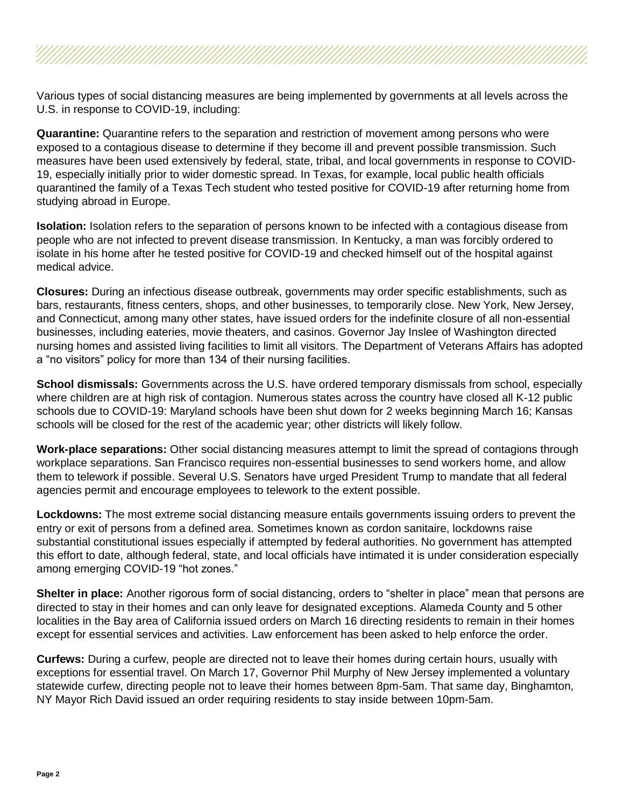Various types of social distancing measures are being implemented by governments at all levels across the U.S. in response to COVID-19, including:

**Quarantine:** Quarantine refers to the separation and restriction of movement among persons who were exposed to a contagious disease to determine if they become ill and prevent possible transmission. Such measures have been used extensively by federal, state, tribal, and local governments in response to COVID-19, especially initially prior to wider domestic spread. In Texas, for example, local public health officials quarantined the family of a Texas Tech student who tested positive for COVID-19 after returning home from studying abroad in Europe.

**Isolation:** Isolation refers to the separation of persons known to be infected with a contagious disease from people who are not infected to prevent disease transmission. In Kentucky, a man was forcibly ordered to isolate in his home after he tested positive for COVID-19 and checked himself out of the hospital against medical advice.

**Closures:** During an infectious disease outbreak, governments may order specific establishments, such as bars, restaurants, fitness centers, shops, and other businesses, to temporarily close. New York, New Jersey, and Connecticut, among many other states, have issued orders for the indefinite closure of all non-essential businesses, including eateries, movie theaters, and casinos. Governor Jay Inslee of Washington directed nursing homes and assisted living facilities to limit all visitors. The Department of Veterans Affairs has adopted a "no visitors" policy for more than 134 of their nursing facilities.

**School dismissals:** Governments across the U.S. have ordered temporary dismissals from school, especially where children are at high risk of contagion. Numerous states across the country have closed all K-12 public schools due to COVID-19: Maryland schools have been shut down for 2 weeks beginning March 16; Kansas schools will be closed for the rest of the academic year; other districts will likely follow.

**Work-place separations:** Other social distancing measures attempt to limit the spread of contagions through workplace separations. San Francisco requires non-essential businesses to send workers home, and allow them to telework if possible. Several U.S. Senators have urged President Trump to mandate that all federal agencies permit and encourage employees to telework to the extent possible.

**Lockdowns:** The most extreme social distancing measure entails governments issuing orders to prevent the entry or exit of persons from a defined area. Sometimes known as cordon sanitaire, lockdowns raise substantial constitutional issues especially if attempted by federal authorities. No government has attempted this effort to date, although federal, state, and local officials have intimated it is under consideration especially among emerging COVID-19 "hot zones."

**Shelter in place:** Another rigorous form of social distancing, orders to "shelter in place" mean that persons are directed to stay in their homes and can only leave for designated exceptions. Alameda County and 5 other localities in the Bay area of California issued orders on March 16 directing residents to remain in their homes except for essential services and activities. Law enforcement has been asked to help enforce the order.

**Curfews:** During a curfew, people are directed not to leave their homes during certain hours, usually with exceptions for essential travel. On March 17, Governor Phil Murphy of New Jersey implemented a voluntary statewide curfew, directing people not to leave their homes between 8pm-5am. That same day, Binghamton, NY Mayor Rich David issued an order requiring residents to stay inside between 10pm-5am.